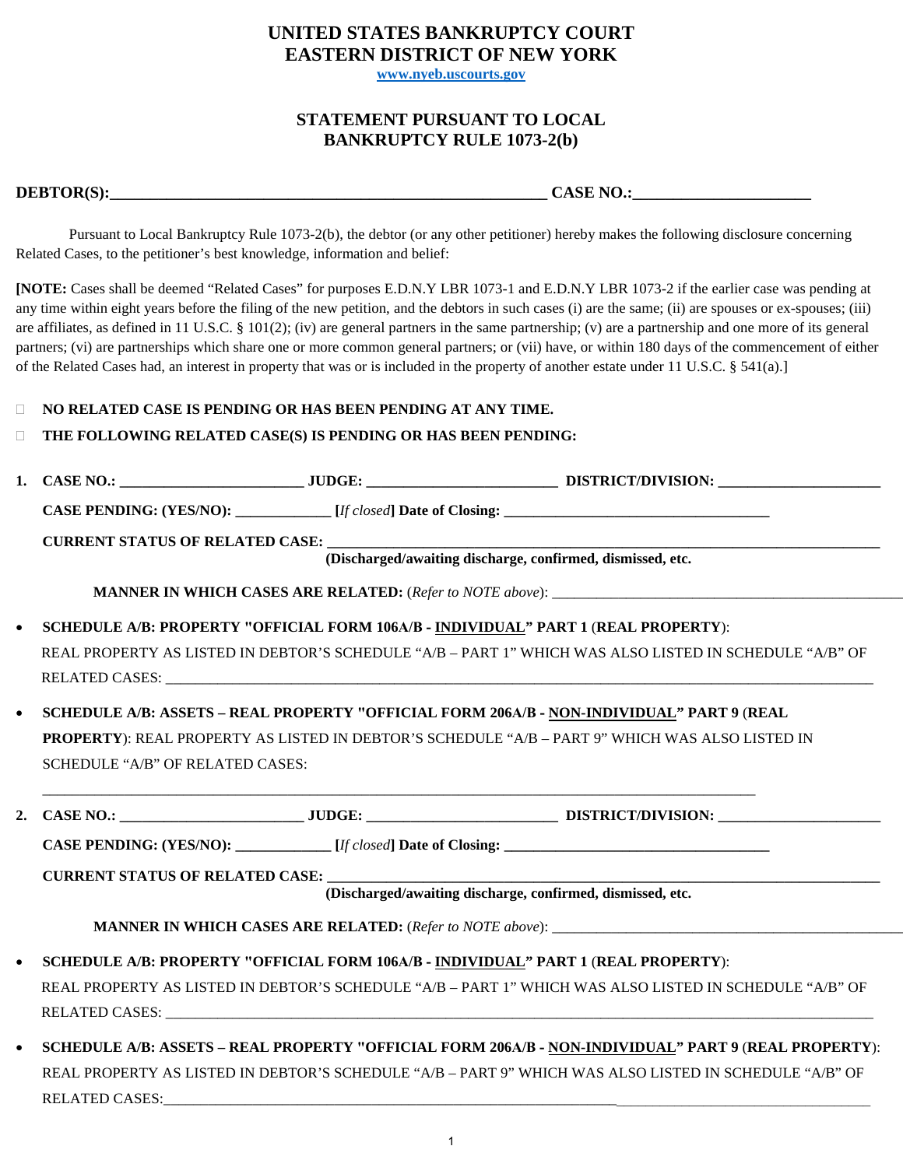# **UNITED STATES BANKRUPTCY COURT EASTERN DISTRICT OF NEW YORK**

**www.nyeb.uscourts.gov**

## **STATEMENT PURSUANT TO LOCAL BANKRUPTCY RULE 1073-2(b)**

| <b>DEBTOR(S):</b> |  |
|-------------------|--|
|                   |  |

**CASE NO.: DEBTURE OF A SET OF A SET OF A SET OF A SET OF A SET OF A SET OF A SET OF A SET OF A SET OF A SET OF A SET OF A SET OF A SET OF A SET OF A SET OF A SET OF A SET OF A SET OF A SET OF A SET OF A SET OF A SET OF** 

Pursuant to Local Bankruptcy Rule 1073-2(b), the debtor (or any other petitioner) hereby makes the following disclosure concerning Related Cases, to the petitioner's best knowledge, information and belief:

**[NOTE:** Cases shall be deemed "Related Cases" for purposes E.D.N.Y LBR 1073-1 and E.D.N.Y LBR 1073-2 if the earlier case was pending at any time within eight years before the filing of the new petition, and the debtors in such cases (i) are the same; (ii) are spouses or ex-spouses; (iii) are affiliates, as defined in 11 U.S.C. § 101(2); (iv) are general partners in the same partnership; (v) are a partnership and one more of its general partners; (vi) are partnerships which share one or more common general partners; or (vii) have, or within 180 days of the commencement of either of the Related Cases had, an interest in property that was or is included in the property of another estate under 11 U.S.C. § 541(a).]

### **NO RELATED CASE IS PENDING OR HAS BEEN PENDING AT ANY TIME.**

#### **THE FOLLOWING RELATED CASE(S) IS PENDING OR HAS BEEN PENDING:**

|                                                                                                        |                                                                                    |  | CASE PENDING: (YES/NO): [ <i>If closed</i> ] Date of Closing: <u>[15]</u>                              |  |  |
|--------------------------------------------------------------------------------------------------------|------------------------------------------------------------------------------------|--|--------------------------------------------------------------------------------------------------------|--|--|
|                                                                                                        | <b>CURRENT STATUS OF RELATED CASE:</b>                                             |  |                                                                                                        |  |  |
|                                                                                                        |                                                                                    |  | (Discharged/awaiting discharge, confirmed, dismissed, etc.                                             |  |  |
|                                                                                                        |                                                                                    |  |                                                                                                        |  |  |
|                                                                                                        | SCHEDULE A/B: PROPERTY "OFFICIAL FORM 106A/B - INDIVIDUAL" PART 1 (REAL PROPERTY): |  |                                                                                                        |  |  |
|                                                                                                        |                                                                                    |  | REAL PROPERTY AS LISTED IN DEBTOR'S SCHEDULE "A/B - PART 1" WHICH WAS ALSO LISTED IN SCHEDULE "A/B" OF |  |  |
|                                                                                                        |                                                                                    |  |                                                                                                        |  |  |
| $\bullet$                                                                                              |                                                                                    |  | SCHEDULE A/B: ASSETS - REAL PROPERTY "OFFICIAL FORM 206A/B - NON-INDIVIDUAL" PART 9 (REAL              |  |  |
|                                                                                                        |                                                                                    |  | PROPERTY): REAL PROPERTY AS LISTED IN DEBTOR'S SCHEDULE "A/B - PART 9" WHICH WAS ALSO LISTED IN        |  |  |
|                                                                                                        | SCHEDULE "A/B" OF RELATED CASES:                                                   |  |                                                                                                        |  |  |
|                                                                                                        |                                                                                    |  |                                                                                                        |  |  |
|                                                                                                        |                                                                                    |  | CASE PENDING: (YES/NO): [If closed] Date of Closing:                                                   |  |  |
|                                                                                                        |                                                                                    |  |                                                                                                        |  |  |
|                                                                                                        | <b>CURRENT STATUS OF RELATED CASE:</b>                                             |  | (Discharged/awaiting discharge, confirmed, dismissed, etc.                                             |  |  |
|                                                                                                        |                                                                                    |  |                                                                                                        |  |  |
|                                                                                                        |                                                                                    |  |                                                                                                        |  |  |
|                                                                                                        | SCHEDULE A/B: PROPERTY "OFFICIAL FORM 106A/B - INDIVIDUAL" PART 1 (REAL PROPERTY): |  |                                                                                                        |  |  |
| REAL PROPERTY AS LISTED IN DEBTOR'S SCHEDULE "A/B - PART 1" WHICH WAS ALSO LISTED IN SCHEDULE "A/B" OF |                                                                                    |  |                                                                                                        |  |  |
|                                                                                                        |                                                                                    |  |                                                                                                        |  |  |
|                                                                                                        |                                                                                    |  | SCHEDULE A/B: ASSETS - REAL PROPERTY "OFFICIAL FORM 206A/B - NON-INDIVIDUAL" PART 9 (REAL PROPERTY):   |  |  |

REAL PROPERTY AS LISTED IN DEBTOR'S SCHEDULE "A/B – PART 9" WHICH WAS ALSO LISTED IN SCHEDULE "A/B" OF RELATED CASES: